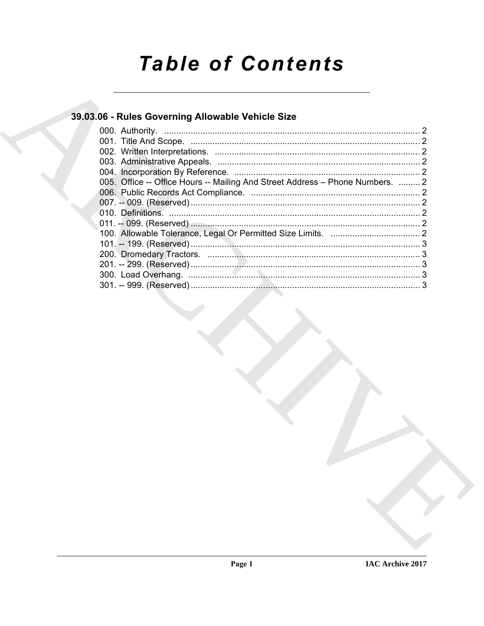# **Table of Contents**

# 39.03.06 - Rules Governing Allowable Vehicle Size

| 005. Office -- Office Hours -- Mailing And Street Address - Phone Numbers.  2 |  |
|-------------------------------------------------------------------------------|--|
|                                                                               |  |
|                                                                               |  |
|                                                                               |  |
|                                                                               |  |
|                                                                               |  |
|                                                                               |  |
|                                                                               |  |
|                                                                               |  |
|                                                                               |  |
|                                                                               |  |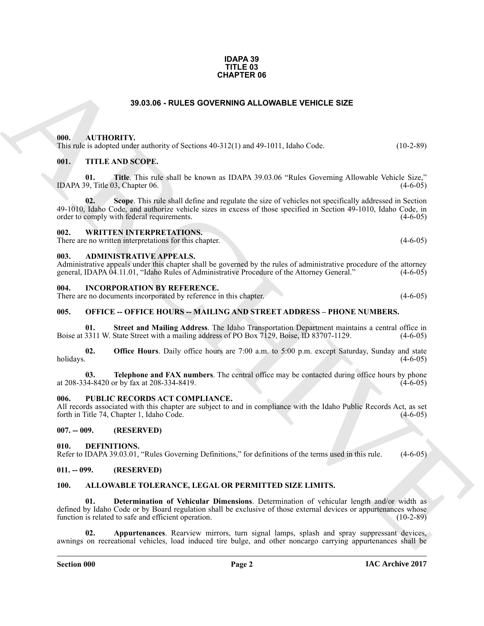#### **IDAPA 39 TITLE 03 CHAPTER 06**

# **39.03.06 - RULES GOVERNING ALLOWABLE VEHICLE SIZE**

# <span id="page-1-1"></span><span id="page-1-0"></span>**000. AUTHORITY.**

This rule is adopted under authority of Sections 40-312(1) and 49-1011, Idaho Code. (10-2-89)

## <span id="page-1-2"></span>**001. TITLE AND SCOPE.**

**01. Title**. This rule shall be known as IDAPA 39.03.06 "Rules Governing Allowable Vehicle Size," IDAPA 39, Title 03, Chapter 06. (4-6-05)

**39.03.06 - RULES OOVERNING ALLOWABLE VEHICLE SIZE**<br>
100. ACTIONITY, and solve the SIZE (10.2.89)<br>
100. ATTILE AND SCOPE.<br>
100. TITLE AND SCOPE.<br>
100. TITLE AND SCOPE.<br>
100. THE AND SCOPE.<br>
100. THE AND SCOPE.<br>
100. THE A **02.** Scope. This rule shall define and regulate the size of vehicles not specifically addressed in Section 49-1010, Idaho Code, and authorize vehicle sizes in excess of those specified in Section 49-1010, Idaho Code, in order to comply with federal requirements. (4-6-05) order to comply with federal requirements.

# <span id="page-1-3"></span>**002. WRITTEN INTERPRETATIONS.**

There are no written interpretations for this chapter. (4-6-05)

#### <span id="page-1-4"></span>**003. ADMINISTRATIVE APPEALS.**

Administrative appeals under this chapter shall be governed by the rules of administrative procedure of the attorney general, IDAPA 04.11.01, "Idaho Rules of Administrative Procedure of the Attorney General," (4-6-05) general, IDAPA 04.11.01, "Idaho Rules of Administrative Procedure of the Attorney General."

#### <span id="page-1-5"></span>**004. INCORPORATION BY REFERENCE.**

There are no documents incorporated by reference in this chapter. (4-6-05)

#### <span id="page-1-6"></span>**005. OFFICE -- OFFICE HOURS -- MAILING AND STREET ADDRESS – PHONE NUMBERS.**

**01.** Street and Mailing Address. The Idaho Transportation Department maintains a central office in 3311 W. State Street with a mailing address of PO Box 7129, Boise, ID 83707-1129. (4-6-05) Boise at 3311 W. State Street with a mailing address of PO Box 7129, Boise, ID 83707-1129.

**02. Office Hours**. Daily office hours are 7:00 a.m. to 5:00 p.m. except Saturday, Sunday and state holidays. (4-6-05) holidays.  $(4-6-05)$ 

**03. Telephone and FAX numbers**. The central office may be contacted during office hours by phone (4-6-05) (4-8420 or by fax at 208-334-8419. at 208-334-8420 or by fax at 208-334-8419.

#### <span id="page-1-7"></span>PUBLIC RECORDS ACT COMPLIANCE.

All records associated with this chapter are subject to and in compliance with the Idaho Public Records Act, as set forth in Title 74, Chapter 1, Idaho Code. (4-6-05)

# <span id="page-1-8"></span>**007. -- 009. (RESERVED)**

#### <span id="page-1-15"></span><span id="page-1-9"></span>**010. DEFINITIONS.**

Refer to IDAPA 39.03.01, "Rules Governing Definitions," for definitions of the terms used in this rule. (4-6-05)

# <span id="page-1-10"></span>**011. -- 099. (RESERVED)**

#### <span id="page-1-14"></span><span id="page-1-12"></span><span id="page-1-11"></span>**100. ALLOWABLE TOLERANCE, LEGAL OR PERMITTED SIZE LIMITS.**

**01. Determination of Vehicular Dimensions**. Determination of vehicular length and/or width as defined by Idaho Code or by Board regulation shall be exclusive of those external devices or appurtenances whose function is related to safe and efficient operation. (10-2-89) function is related to safe and efficient operation.

<span id="page-1-13"></span>**02. Appurtenances**. Rearview mirrors, turn signal lamps, splash and spray suppressant devices, awnings on recreational vehicles, load induced tire bulge, and other noncargo carrying appurtenances shall be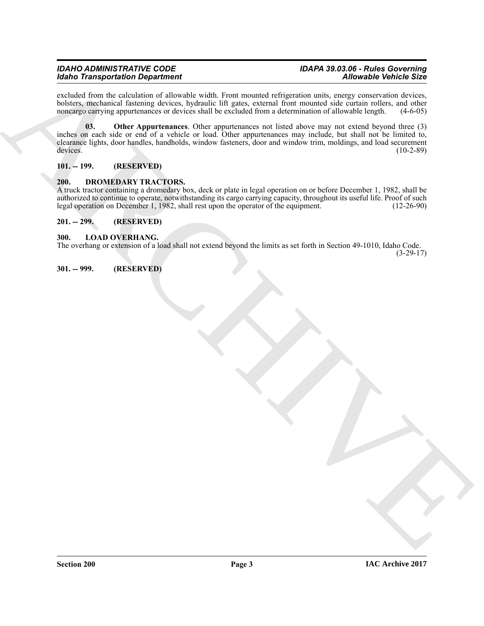### *IDAHO ADMINISTRATIVE CODE IDAPA 39.03.06 - Rules Governing Idaho Transportation Department*

<span id="page-2-5"></span>excluded from the calculation of allowable width. Front mounted refrigeration units, energy conservation devices, bolsters, mechanical fastening devices, hydraulic lift gates, external front mounted side curtain rollers, and other noncargo carrying appurtenances or devices shall be excluded from a determination of allowable length. (4 noncargo carrying appurtenances or devices shall be excluded from a determination of allowable length.

**Extra Transportation Dependent of the relation of the state of the control of the control of the control of the control of the control of the control of the control of the control of the control of the control of the con 03. Other Appurtenances**. Other appurtenances not listed above may not extend beyond three (3) inches on each side or end of a vehicle or load. Other appurtenances may include, but shall not be limited to, clearance lights, door handles, handholds, window fasteners, door and window trim, moldings, and load securement devices. (10-2-89) devices. (10-2-89)

<span id="page-2-0"></span>**101. -- 199. (RESERVED)**

# <span id="page-2-6"></span><span id="page-2-1"></span>**200. DROMEDARY TRACTORS.**

A truck tractor containing a dromedary box, deck or plate in legal operation on or before December 1, 1982, shall be authorized to continue to operate, notwithstanding its cargo carrying capacity, throughout its useful life. Proof of such legal operation on December 1, 1982, shall rest upon the operator of the equipment. (12-26-90)

# <span id="page-2-2"></span>**201. -- 299. (RESERVED)**

# <span id="page-2-7"></span><span id="page-2-3"></span>**300. LOAD OVERHANG.**

The overhang or extension of a load shall not extend beyond the limits as set forth in Section 49-1010, Idaho Code.

(3-29-17)

<span id="page-2-4"></span>**301. -- 999. (RESERVED)**